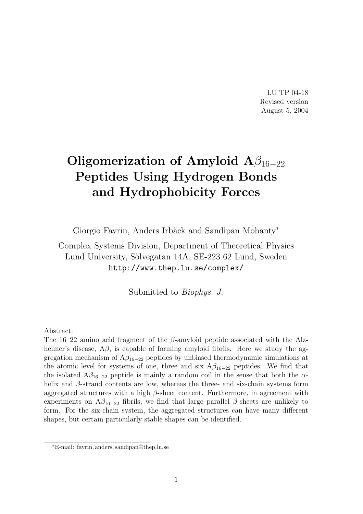LU TP 04-18 Revised version August 5, 2004

# Oligomerization of Amyloid  $A\beta_{16-22}$ Peptides Using Hydrogen Bonds and Hydrophobicity Forces

Giorgio Favrin, Anders Irbäck and Sandipan Mohanty<sup>\*</sup>

Complex Systems Division, Department of Theoretical Physics Lund University, Sölvegatan 14A, SE-223 62 Lund, Sweden http://www.thep.lu.se/complex/

Submitted to Biophys. J.

Abstract:

The 16–22 amino acid fragment of the  $\beta$ -amyloid peptide associated with the Alzheimer's disease,  $A\beta$ , is capable of forming amyloid fibrils. Here we study the aggregation mechanism of  $A\beta_{16-22}$  peptides by unbiased thermodynamic simulations at the atomic level for systems of one, three and six  $A\beta_{16-22}$  peptides. We find that the isolated  $A\beta_{16-22}$  peptide is mainly a random coil in the sense that both the  $\alpha$ helix and  $\beta$ -strand contents are low, whereas the three- and six-chain systems form aggregated structures with a high  $\beta$ -sheet content. Furthermore, in agreement with experiments on  $A\beta_{16-22}$  fibrils, we find that large parallel  $\beta$ -sheets are unlikely to form. For the six-chain system, the aggregated structures can have many different shapes, but certain particularly stable shapes can be identified.

<sup>∗</sup>E-mail: favrin, anders, sandipan@thep.lu.se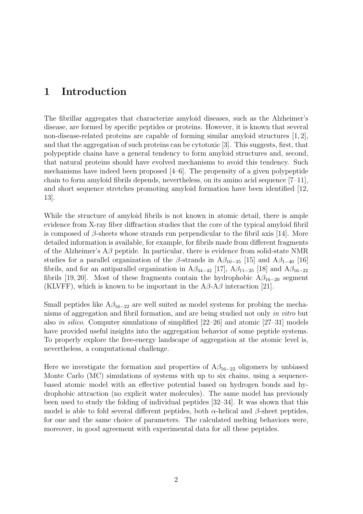### 1 Introduction

The fibrillar aggregates that characterize amyloid diseases, such as the Alzheimer's disease, are formed by specific peptides or proteins. However, it is known that several non-disease-related proteins are capable of forming similar amyloid structures [1, 2], and that the aggregation of such proteins can be cytotoxic [3]. This suggests, first, that polypeptide chains have a general tendency to form amyloid structures and, second, that natural proteins should have evolved mechanisms to avoid this tendency. Such mechanisms have indeed been proposed [4–6]. The propensity of a given polypeptide chain to form amyloid fibrils depends, nevertheless, on its amino acid sequence [7–11], and short sequence stretches promoting amyloid formation have been identified [12, 13].

While the structure of amyloid fibrils is not known in atomic detail, there is ample evidence from X-ray fiber diffraction studies that the core of the typical amyloid fibril is composed of  $\beta$ -sheets whose strands run perpendicular to the fibril axis [14]. More detailed information is available, for example, for fibrils made from different fragments of the Alzheimer's  $A\beta$  peptide. In particular, there is evidence from solid-state NMR studies for a parallel organization of the  $\beta$ -strands in A $\beta_{10-35}$  [15] and A $\beta_{1-40}$  [16] fibrils, and for an antiparallel organization in  $A\beta_{34-42}$  [17],  $A\beta_{11-25}$  [18] and  $A\beta_{16-22}$ fibrils [19, 20]. Most of these fragments contain the hydrophobic  $A\beta_{16-20}$  segment (KLVFF), which is known to be important in the  $A\beta$ - $A\beta$  interaction [21].

Small peptides like  $A\beta_{16-22}$  are well suited as model systems for probing the mechanisms of aggregation and fibril formation, and are being studied not only in vitro but also in silico. Computer simulations of simplified [22–26] and atomic [27–31] models have provided useful insights into the aggregation behavior of some peptide systems. To properly explore the free-energy landscape of aggregation at the atomic level is, nevertheless, a computational challenge.

Here we investigate the formation and properties of  $A\beta_{16-22}$  oligomers by unbiased Monte Carlo (MC) simulations of systems with up to six chains, using a sequencebased atomic model with an effective potential based on hydrogen bonds and hydrophobic attraction (no explicit water molecules). The same model has previously been used to study the folding of individual peptides [32–34]. It was shown that this model is able to fold several different peptides, both  $\alpha$ -helical and  $\beta$ -sheet peptides, for one and the same choice of parameters. The calculated melting behaviors were, moreover, in good agreement with experimental data for all these peptides.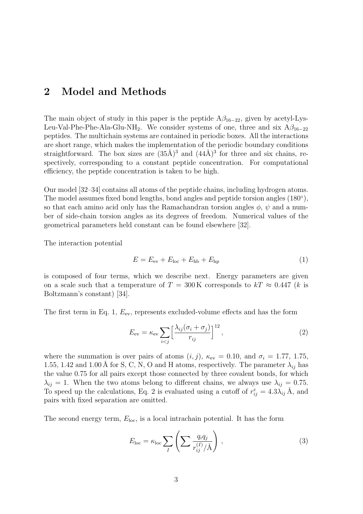### 2 Model and Methods

The main object of study in this paper is the peptide  $A\beta_{16-22}$ , given by acetyl-Lys-Leu-Val-Phe-Phe-Ala-Glu-NH<sub>2</sub>. We consider systems of one, three and six  $A\beta_{16-22}$ peptides. The multichain systems are contained in periodic boxes. All the interactions are short range, which makes the implementation of the periodic boundary conditions straightforward. The box sizes are  $(35\text{\AA})^3$  and  $(44\text{\AA})^3$  for three and six chains, respectively, corresponding to a constant peptide concentration. For computational efficiency, the peptide concentration is taken to be high.

Our model [32–34] contains all atoms of the peptide chains, including hydrogen atoms. The model assumes fixed bond lengths, bond angles and peptide torsion angles  $(180^{\circ})$ , so that each amino acid only has the Ramachandran torsion angles  $\phi$ ,  $\psi$  and a number of side-chain torsion angles as its degrees of freedom. Numerical values of the geometrical parameters held constant can be found elsewhere [32].

The interaction potential

$$
E = Eev + Eloc + Ehb + Ehp
$$
 (1)

is composed of four terms, which we describe next. Energy parameters are given on a scale such that a temperature of  $T = 300 \text{ K}$  corresponds to  $kT \approx 0.447$  (k is Boltzmann's constant) [34].

The first term in Eq. 1,  $E_{\text{ev}}$ , represents excluded-volume effects and has the form

$$
E_{\rm ev} = \kappa_{\rm ev} \sum_{i < j} \left[ \frac{\lambda_{ij} (\sigma_i + \sigma_j)}{r_{ij}} \right]^{12},\tag{2}
$$

where the summation is over pairs of atoms  $(i, j)$ ,  $\kappa_{ev} = 0.10$ , and  $\sigma_i = 1.77, 1.75$ , 1.55, 1.42 and 1.00 Å for S, C, N, O and H atoms, respectively. The parameter  $\lambda_{ij}$  has the value 0.75 for all pairs except those connected by three covalent bonds, for which  $\lambda_{ij} = 1$ . When the two atoms belong to different chains, we always use  $\lambda_{ij} = 0.75$ . To speed up the calculations, Eq. 2 is evaluated using a cutoff of  $r_{ij}^c = 4.3\lambda_{ij} \text{ Å}$ , and pairs with fixed separation are omitted.

The second energy term,  $E_{\text{loc}}$ , is a local intrachain potential. It has the form

$$
E_{\rm loc} = \kappa_{\rm loc} \sum_{I} \left( \sum \frac{q_i q_j}{r_{ij}^{(I)}/\mathring{A}} \right) , \qquad (3)
$$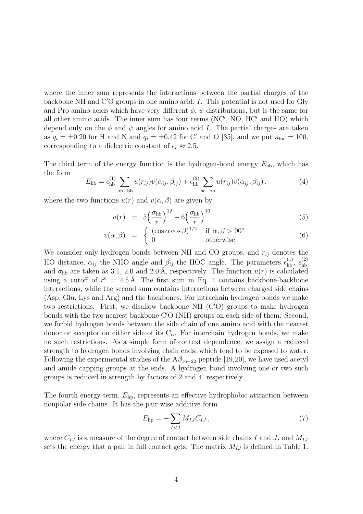where the inner sum represents the interactions between the partial charges of the backbone NH and  $C'O$  groups in one amino acid, I. This potential is not used for Gly and Pro amino acids which have very different  $\phi$ ,  $\psi$  distributions, but is the same for all other amino acids. The inner sum has four terms  $(NC', NO, HC'$  and  $HO)$  which depend only on the  $\phi$  and  $\psi$  angles for amino acid I. The partial charges are taken as  $q_i = \pm 0.20$  for H and N and  $q_i = \pm 0.42$  for C' and O [35], and we put  $\kappa_{loc} = 100$ , corresponding to a dielectric constant of  $\epsilon_r \approx 2.5$ .

The third term of the energy function is the hydrogen-bond energy  $E_{\text{hb}}$ , which has the form

$$
E_{\text{hb}} = \epsilon_{\text{hb}}^{(1)} \sum_{\text{bb}-\text{bb}} u(r_{ij})v(\alpha_{ij}, \beta_{ij}) + \epsilon_{\text{hb}}^{(2)} \sum_{\text{sc}-\text{bb}} u(r_{ij})v(\alpha_{ij}, \beta_{ij}), \tag{4}
$$

where the two functions  $u(r)$  and  $v(\alpha, \beta)$  are given by

$$
u(r) = 5\left(\frac{\sigma_{\rm hb}}{r}\right)^{12} - 6\left(\frac{\sigma_{\rm hb}}{r}\right)^{10} \tag{5}
$$

$$
v(\alpha, \beta) = \begin{cases} (r \vee r) & \text{if } \alpha, \beta > 90^{\circ} \\ 0 & \text{otherwise} \end{cases}
$$
(6)

We consider only hydrogen bonds between NH and CO groups, and  $r_{ij}$  denotes the HO distance,  $\alpha_{ij}$  the NHO angle and  $\beta_{ij}$  the HOC angle. The parameters  $\epsilon_{\rm hb}^{(1)}$ ,  $\epsilon_{\rm hb}^{(2)}$ hb and  $\sigma_{hb}$  are taken as 3.1, 2.0 and 2.0 Å, respectively. The function  $u(r)$  is calculated using a cutoff of  $r^c = 4.5 \text{ Å}$ . The first sum in Eq. 4 contains backbone-backbone interactions, while the second sum contains interactions between charged side chains (Asp, Glu, Lys and Arg) and the backbones. For intrachain hydrogen bonds we make two restrictions. First, we disallow backbone NH  $(C'O)$  groups to make hydrogen bonds with the two nearest backbone  $C'O(NH)$  groups on each side of them. Second, we forbid hydrogen bonds between the side chain of one amino acid with the nearest donor or acceptor on either side of its  $C_{\alpha}$ . For interchain hydrogen bonds, we make no such restrictions. As a simple form of context dependence, we assign a reduced strength to hydrogen bonds involving chain ends, which tend to be exposed to water. Following the experimental studies of the  $A\beta_{16-22}$  peptide [19,20], we have used acetyl and amide capping groups at the ends. A hydrogen bond involving one or two such groups is reduced in strength by factors of 2 and 4, respectively.

The fourth energy term,  $E_{hp}$ , represents an effective hydrophobic attraction between nonpolar side chains. It has the pair-wise additive form

$$
E_{\rm hp} = -\sum_{I < J} M_{IJ} C_{IJ} \,,\tag{7}
$$

where  $C_{IJ}$  is a measure of the degree of contact between side chains I and J, and  $M_{IJ}$ sets the energy that a pair in full contact gets. The matrix  $M_{IJ}$  is defined in Table 1.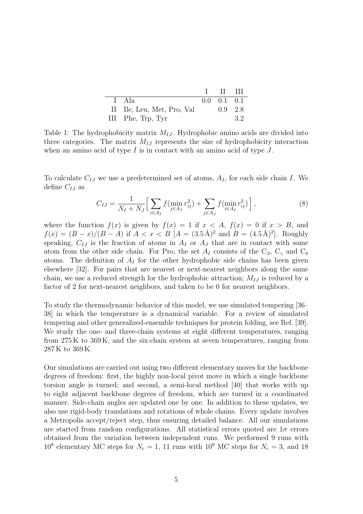|                            | $\mathbf{I}$ if iii       |    |
|----------------------------|---------------------------|----|
| I Ala                      | $0.0 \quad 0.1 \quad 0.1$ |    |
| II Ile, Leu, Met, Pro, Val | $0.9 \quad 2.8$           |    |
| III Phe, Trp, Tyr          |                           | 32 |

Table 1: The hydrophobicity matrix  $M_{IJ}$ . Hydrophobic amino acids are divided into three categories. The matrix  $M_{IJ}$  represents the size of hydrophobicity interaction when an amino acid of type  $I$  is in contact with an amino acid of type  $J$ .

To calculate  $C_{IJ}$  we use a predetermined set of atoms,  $A_I$ , for each side chain I. We define  $C_{IJ}$  as

$$
C_{IJ} = \frac{1}{N_I + N_J} \Big[ \sum_{i \in A_I} f(\min_{j \in A_J} r_{ij}^2) + \sum_{j \in A_J} f(\min_{i \in A_I} r_{ij}^2) \Big], \tag{8}
$$

where the function  $f(x)$  is given by  $f(x) = 1$  if  $x < A$ ,  $f(x) = 0$  if  $x > B$ , and  $f(x) = (B - x)/(B - A)$  if  $A < x < B$   $\vert A = (3.5 \text{ Å})^2$  and  $B = (4.5 \text{ Å})^2$ . Roughly speaking,  $C_{IJ}$  is the fraction of atoms in  $A_I$  or  $A_J$  that are in contact with some atom from the other side chain. For Pro, the set  $A_I$  consists of the  $C_\beta$ ,  $C_\gamma$  and  $C_\delta$ atoms. The definition of  $A_I$  for the other hydrophobic side chains has been given elsewhere [32]. For pairs that are nearest or next-nearest neighbors along the same chain, we use a reduced strength for the hydrophobic attraction;  $M_{IJ}$  is reduced by a factor of 2 for next-nearest neighbors, and taken to be 0 for nearest neighbors.

To study the thermodynamic behavior of this model, we use simulated tempering [36– 38] in which the temperature is a dynamical variable. For a review of simulated tempering and other generalized-ensemble techniques for protein folding, see Ref. [39]. We study the one- and three-chain systems at eight different temperatures, ranging from 275 K to 369 K, and the six-chain system at seven temperatures, ranging from 287 K to 369 K.

Our simulations are carried out using two different elementary moves for the backbone degrees of freedom: first, the highly non-local pivot move in which a single backbone torsion angle is turned; and second, a semi-local method [40] that works with up to eight adjacent backbone degrees of freedom, which are turned in a coordinated manner. Side-chain angles are updated one by one. In addition to these updates, we also use rigid-body translations and rotations of whole chains. Every update involves a Metropolis accept/reject step, thus ensuring detailed balance. All our simulations are started from random configurations. All statistical errors quoted are  $1\sigma$  errors obtained from the variation between independent runs. We performed 9 runs with  $10^8$  elementary MC steps for  $N_c = 1$ , 11 runs with  $10^9$  MC steps for  $N_c = 3$ , and 18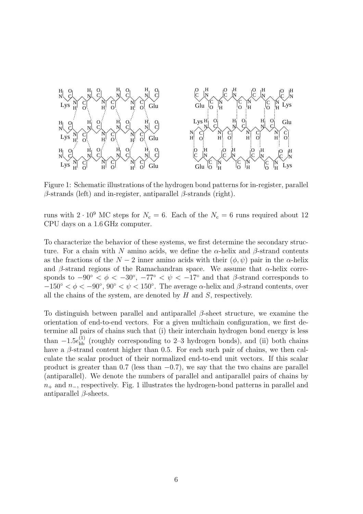

Figure 1: Schematic illustrations of the hydrogen bond patterns for in-register, parallel  $\beta$ -strands (left) and in-register, antiparallel  $\beta$ -strands (right).

runs with  $2 \cdot 10^9$  MC steps for  $N_c = 6$ . Each of the  $N_c = 6$  runs required about 12 CPU days on a 1.6 GHz computer.

To characterize the behavior of these systems, we first determine the secondary structure. For a chain with N amino acids, we define the  $\alpha$ -helix and  $\beta$ -strand contents as the fractions of the  $N-2$  inner amino acids with their  $(\phi, \psi)$  pair in the  $\alpha$ -helix and β-strand regions of the Ramachandran space. We assume that  $\alpha$ -helix corresponds to  $-90^{\circ} < \phi < -30^{\circ}$ ,  $-77^{\circ} < \psi < -17^{\circ}$  and that  $\beta$ -strand corresponds to  $-150^{\circ} < \phi < -90^{\circ}$ ,  $90^{\circ} < \psi < 150^{\circ}$ . The average  $\alpha$ -helix and  $\beta$ -strand contents, over all the chains of the system, are denoted by  $H$  and  $S$ , respectively.

To distinguish between parallel and antiparallel  $\beta$ -sheet structure, we examine the orientation of end-to-end vectors. For a given multichain configuration, we first determine all pairs of chains such that (i) their interchain hydrogen bond energy is less than  $-1.5\epsilon_{\text{hb}}^{(1)}$  (roughly corresponding to 2–3 hydrogen bonds), and (ii) both chains have a  $\beta$ -strand content higher than 0.5. For each such pair of chains, we then calculate the scalar product of their normalized end-to-end unit vectors. If this scalar product is greater than  $0.7$  (less than  $-0.7$ ), we say that the two chains are parallel (antiparallel). We denote the numbers of parallel and antiparallel pairs of chains by  $n_{+}$  and  $n_{-}$ , respectively. Fig. 1 illustrates the hydrogen-bond patterns in parallel and antiparallel  $\beta$ -sheets.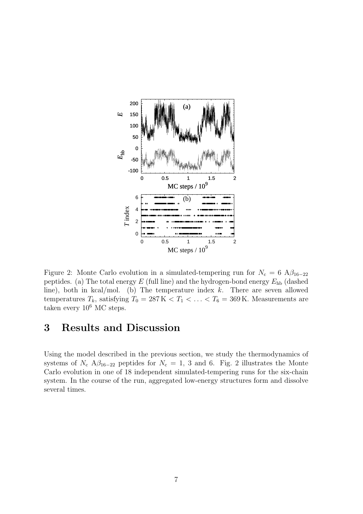

Figure 2: Monte Carlo evolution in a simulated-tempering run for  $N_c = 6$  A $\beta_{16-22}$ peptides. (a) The total energy  $E$  (full line) and the hydrogen-bond energy  $E_{hb}$  (dashed line), both in kcal/mol. (b) The temperature index  $k$ . There are seven allowed temperatures  $T_k$ , satisfying  $T_0 = 287 \,\mathrm{K} < T_1 < \ldots < T_6 = 369 \,\mathrm{K}$ . Measurements are taken every  $10^6$  MC steps.

# 3 Results and Discussion

Using the model described in the previous section, we study the thermodynamics of systems of  $N_c$  A $\beta_{16-22}$  peptides for  $N_c = 1, 3$  and 6. Fig. 2 illustrates the Monte Carlo evolution in one of 18 independent simulated-tempering runs for the six-chain system. In the course of the run, aggregated low-energy structures form and dissolve several times.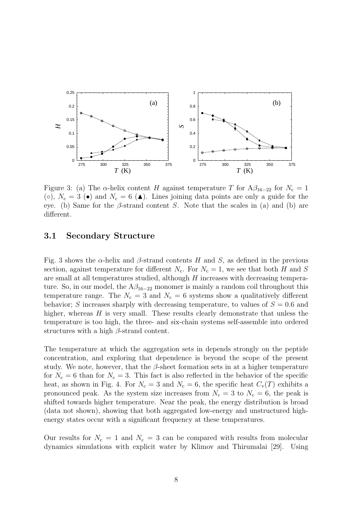

Figure 3: (a) The  $\alpha$ -helix content H against temperature T for  $A\beta_{16-22}$  for  $N_c = 1$ (o),  $N_c = 3$  ( $\bullet$ ) and  $N_c = 6$  ( $\blacktriangle$ ). Lines joining data points are only a guide for the eye. (b) Same for the  $\beta$ -strand content S. Note that the scales in (a) and (b) are different.

#### 3.1 Secondary Structure

Fig. 3 shows the  $\alpha$ -helix and  $\beta$ -strand contents H and S, as defined in the previous section, against temperature for different  $N_c$ . For  $N_c = 1$ , we see that both H and S are small at all temperatures studied, although H increases with decreasing temperature. So, in our model, the  $A\beta_{16-22}$  monomer is mainly a random coil throughout this temperature range. The  $N_c = 3$  and  $N_c = 6$  systems show a qualitatively different behavior; S increases sharply with decreasing temperature, to values of  $S = 0.6$  and higher, whereas  $H$  is very small. These results clearly demonstrate that unless the temperature is too high, the three- and six-chain systems self-assemble into ordered structures with a high  $\beta$ -strand content.

The temperature at which the aggregation sets in depends strongly on the peptide concentration, and exploring that dependence is beyond the scope of the present study. We note, however, that the  $\beta$ -sheet formation sets in at a higher temperature for  $N_c = 6$  than for  $N_c = 3$ . This fact is also reflected in the behavior of the specific heat, as shown in Fig. 4. For  $N_c = 3$  and  $N_c = 6$ , the specific heat  $C_v(T)$  exhibits a pronounced peak. As the system size increases from  $N_c = 3$  to  $N_c = 6$ , the peak is shifted towards higher temperature. Near the peak, the energy distribution is broad (data not shown), showing that both aggregated low-energy and unstructured highenergy states occur with a significant frequency at these temperatures.

Our results for  $N_c = 1$  and  $N_c = 3$  can be compared with results from molecular dynamics simulations with explicit water by Klimov and Thirumalai [29]. Using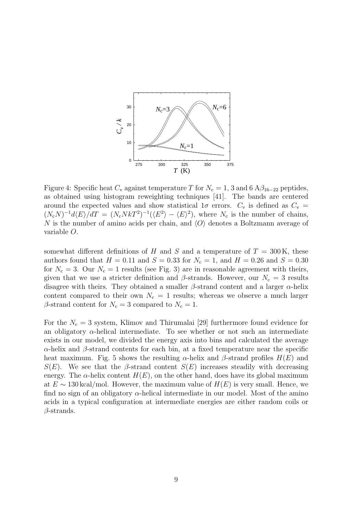

Figure 4: Specific heat  $C_v$  against temperature T for  $N_c = 1$ , 3 and 6  $A\beta_{16-22}$  peptides, as obtained using histogram reweighting techniques [41]. The bands are centered around the expected values and show statistical  $1\sigma$  errors.  $C_v$  is defined as  $C_v$  =  $(N_cN)^{-1}d\langle E\rangle/dT = (N_cNkT^2)^{-1}(\langle E^2\rangle - \langle E\rangle^2)$ , where  $N_c$  is the number of chains, N is the number of amino acids per chain, and  $\langle O \rangle$  denotes a Boltzmann average of variable O.

somewhat different definitions of H and S and a temperature of  $T = 300 \text{ K}$ , these authors found that  $H = 0.11$  and  $S = 0.33$  for  $N_c = 1$ , and  $H = 0.26$  and  $S = 0.30$ for  $N_c = 3$ . Our  $N_c = 1$  results (see Fig. 3) are in reasonable agreement with theirs, given that we use a stricter definition and  $\beta$ -strands. However, our  $N_c = 3$  results disagree with theirs. They obtained a smaller  $\beta$ -strand content and a larger  $\alpha$ -helix content compared to their own  $N_c = 1$  results; whereas we observe a much larger  $\beta$ -strand content for  $N_c = 3$  compared to  $N_c = 1$ .

For the  $N_c = 3$  system, Klimov and Thirumalai [29] furthermore found evidence for an obligatory  $\alpha$ -helical intermediate. To see whether or not such an intermediate exists in our model, we divided the energy axis into bins and calculated the average  $\alpha$ -helix and  $\beta$ -strand contents for each bin, at a fixed temperature near the specific heat maximum. Fig. 5 shows the resulting  $\alpha$ -helix and  $\beta$ -strand profiles  $H(E)$  and  $S(E)$ . We see that the β-strand content  $S(E)$  increases steadily with decreasing energy. The  $\alpha$ -helix content  $H(E)$ , on the other hand, does have its global maximum at  $E \sim 130 \text{ kcal/mol}$ . However, the maximum value of  $H(E)$  is very small. Hence, we find no sign of an obligatory  $\alpha$ -helical intermediate in our model. Most of the amino acids in a typical configuration at intermediate energies are either random coils or  $\beta$ -strands.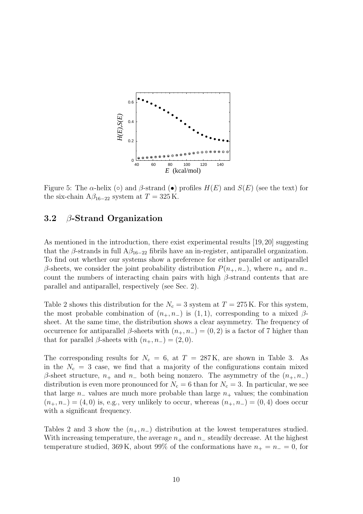

Figure 5: The  $\alpha$ -helix ( $\circ$ ) and  $\beta$ -strand ( $\bullet$ ) profiles  $H(E)$  and  $S(E)$  (see the text) for the six-chain  $A\beta_{16-22}$  system at  $T = 325$  K.

### 3.2  $\beta$ -Strand Organization

As mentioned in the introduction, there exist experimental results [19,20] suggesting that the β-strands in full  $A\beta_{16-22}$  fibrils have an in-register, antiparallel organization. To find out whether our systems show a preference for either parallel or antiparallel β-sheets, we consider the joint probability distribution  $P(n_{+}, n_{-})$ , where  $n_{+}$  and  $n_{-}$ count the numbers of interacting chain pairs with high  $\beta$ -strand contents that are parallel and antiparallel, respectively (see Sec. 2).

Table 2 shows this distribution for the  $N_c = 3$  system at  $T = 275$  K. For this system, the most probable combination of  $(n_{+}, n_{-})$  is  $(1, 1)$ , corresponding to a mixed  $\beta$ sheet. At the same time, the distribution shows a clear asymmetry. The frequency of occurrence for antiparallel β-sheets with  $(n_+, n_-) = (0, 2)$  is a factor of 7 higher than that for parallel  $\beta$ -sheets with  $(n_+, n_-) = (2, 0)$ .

The corresponding results for  $N_c = 6$ , at  $T = 287$ K, are shown in Table 3. As in the  $N_c = 3$  case, we find that a majority of the configurations contain mixed β-sheet structure,  $n_+$  and  $n_+$  both being nonzero. The asymmetry of the  $(n_+, n_-)$ distribution is even more pronounced for  $N_c = 6$  than for  $N_c = 3$ . In particular, we see that large  $n_-\$  values are much more probable than large  $n_+\$  values; the combination  $(n_+, n_-) = (4, 0)$  is, e.g., very unlikely to occur, whereas  $(n_+, n_-) = (0, 4)$  does occur with a significant frequency.

Tables 2 and 3 show the  $(n_+, n_-)$  distribution at the lowest temperatures studied. With increasing temperature, the average  $n_+$  and  $n_-$  steadily decrease. At the highest temperature studied, 369 K, about 99% of the conformations have  $n_{+} = n_{-} = 0$ , for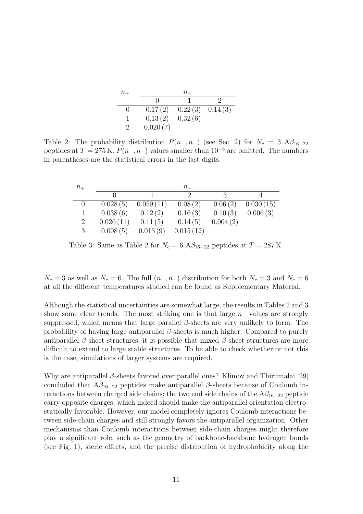| $n_{+}$      | $n_{-}$  |         |         |
|--------------|----------|---------|---------|
|              |          |         |         |
| $\mathbf{0}$ | 0.17(2)  | 0.22(3) | 0.14(3) |
|              | 0.13(2)  | 0.32(6) |         |
|              | 0.020(7) |         |         |

Table 2: The probability distribution  $P(n_{+}, n_{-})$  (see Sec. 2) for  $N_c = 3$  A $\beta_{16-22}$ peptides at  $T = 275$  K.  $P(n_{+}, n_{-})$  values smaller than  $10^{-3}$  are omitted. The numbers in parentheses are the statistical errors in the last digits.

| $n_{+}$        |           |           | $n_{-}$              |          |           |
|----------------|-----------|-----------|----------------------|----------|-----------|
|                |           |           | $\ddot{\phantom{0}}$ |          |           |
|                | 0.028(5)  | 0.059(11) | 0.08(2)              | 0.06(2)  | 0.030(15) |
|                | 0.038(6)  | 0.12(2)   | 0.16(3)              | 0.10(3)  | 0.006(3)  |
| $\overline{2}$ | 0.026(11) | 0.11(5)   | 0.14(5)              | 0.004(2) |           |
| 3              | 0.008(5)  | 0.013(9)  | 0.015(12)            |          |           |

Table 3: Same as Table 2 for  $N_c = 6$  A $\beta_{16-22}$  peptides at  $T = 287$  K.

 $N_c = 3$  as well as  $N_c = 6$ . The full  $(n_+, n_-)$  distribution for both  $N_c = 3$  and  $N_c = 6$ at all the different temperatures studied can be found as Supplementary Material.

Although the statistical uncertainties are somewhat large, the results in Tables 2 and 3 show some clear trends. The most striking one is that large  $n_{+}$  values are strongly suppressed, which means that large parallel  $\beta$ -sheets are very unlikely to form. The probability of having large antiparallel β-sheets is much higher. Compared to purely antiparallel  $\beta$ -sheet structures, it is possible that mixed  $\beta$ -sheet structures are more difficult to extend to large stable structures. To be able to check whether or not this is the case, simulations of larger systems are required.

Why are antiparallel  $\beta$ -sheets favored over parallel ones? Klimov and Thirumalai [29] concluded that  $A\beta_{16-22}$  peptides make antiparallel  $\beta$ -sheets because of Coulomb interactions between charged side chains; the two end side chains of the  $A\beta_{16-22}$  peptide carry opposite charges, which indeed should make the antiparallel orientation electrostatically favorable. However, our model completely ignores Coulomb interactions between side-chain charges and still strongly favors the antiparallel organization. Other mechanisms than Coulomb interactions between side-chain charges might therefore play a significant role, such as the geometry of backbone-backbone hydrogen bonds (see Fig. 1), steric effects, and the precise distribution of hydrophobicity along the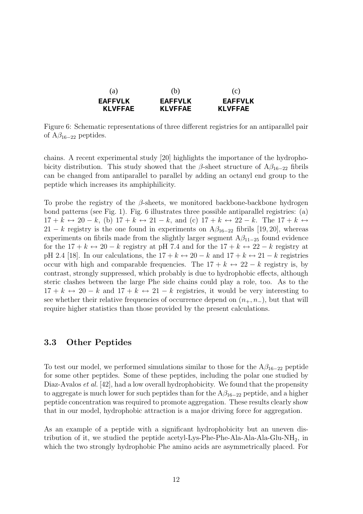| (a)            | (b)            | (C)            |
|----------------|----------------|----------------|
| <b>EAFFVLK</b> | <b>EAFFVLK</b> | <b>FAFFVLK</b> |
| KI.VFFAF       | KI.VFFAF.      | KLVFFAF        |

Figure 6: Schematic representations of three different registries for an antiparallel pair of  $A\beta_{16-22}$  peptides.

chains. A recent experimental study [20] highlights the importance of the hydrophobicity distribution. This study showed that the  $\beta$ -sheet structure of A $\beta_{16-22}$  fibrils can be changed from antiparallel to parallel by adding an octanyl end group to the peptide which increases its amphiphilicity.

To probe the registry of the  $\beta$ -sheets, we monitored backbone-backbone hydrogen bond patterns (see Fig. 1). Fig. 6 illustrates three possible antiparallel registries: (a)  $17 + k \leftrightarrow 20 - k$ , (b)  $17 + k \leftrightarrow 21 - k$ , and (c)  $17 + k \leftrightarrow 22 - k$ . The  $17 + k \leftrightarrow$ 21 − k registry is the one found in experiments on  $A\beta_{16-22}$  fibrils [19, 20], whereas experiments on fibrils made from the slightly larger segment  $A\beta_{11-25}$  found evidence for the  $17 + k \leftrightarrow 20 - k$  registry at pH 7.4 and for the  $17 + k \leftrightarrow 22 - k$  registry at pH 2.4 [18]. In our calculations, the  $17 + k \leftrightarrow 20 - k$  and  $17 + k \leftrightarrow 21 - k$  registries occur with high and comparable frequencies. The  $17 + k \leftrightarrow 22 - k$  registry is, by contrast, strongly suppressed, which probably is due to hydrophobic effects, although steric clashes between the large Phe side chains could play a role, too. As to the  $17 + k \leftrightarrow 20 - k$  and  $17 + k \leftrightarrow 21 - k$  registries, it would be very interesting to see whether their relative frequencies of occurrence depend on  $(n_{+}, n_{-})$ , but that will require higher statistics than those provided by the present calculations.

#### 3.3 Other Peptides

To test our model, we performed simulations similar to those for the  $A\beta_{16-22}$  peptide for some other peptides. Some of these peptides, including the polar one studied by Diaz-Avalos *et al.* [42], had a low overall hydrophobicity. We found that the propensity to aggregate is much lower for such peptides than for the  $A\beta_{16-22}$  peptide, and a higher peptide concentration was required to promote aggregation. These results clearly show that in our model, hydrophobic attraction is a major driving force for aggregation.

As an example of a peptide with a significant hydrophobicity but an uneven distribution of it, we studied the peptide acetyl-Lys-Phe-Phe-Ala-Ala-Ala-Glu-NH<sub>2</sub>, in which the two strongly hydrophobic Phe amino acids are asymmetrically placed. For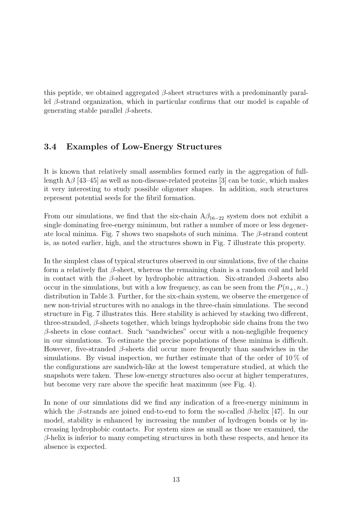this peptide, we obtained aggregated  $\beta$ -sheet structures with a predominantly parallel β-strand organization, which in particular confirms that our model is capable of generating stable parallel  $\beta$ -sheets.

### 3.4 Examples of Low-Energy Structures

It is known that relatively small assemblies formed early in the aggregation of fulllength  $\rm{A}\beta$  [43–45] as well as non-disease-related proteins [3] can be toxic, which makes it very interesting to study possible oligomer shapes. In addition, such structures represent potential seeds for the fibril formation.

From our simulations, we find that the six-chain  $A\beta_{16-22}$  system does not exhibit a single dominating free-energy minimum, but rather a number of more or less degenerate local minima. Fig. 7 shows two snapshots of such minima. The  $\beta$ -strand content is, as noted earlier, high, and the structures shown in Fig. 7 illustrate this property.

In the simplest class of typical structures observed in our simulations, five of the chains form a relatively flat  $\beta$ -sheet, whereas the remaining chain is a random coil and held in contact with the  $\beta$ -sheet by hydrophobic attraction. Six-stranded  $\beta$ -sheets also occur in the simulations, but with a low frequency, as can be seen from the  $P(n_{+}, n_{-})$ distribution in Table 3. Further, for the six-chain system, we observe the emergence of new non-trivial structures with no analogs in the three-chain simulations. The second structure in Fig. 7 illustrates this. Here stability is achieved by stacking two different, three-stranded,  $\beta$ -sheets together, which brings hydrophobic side chains from the two  $\beta$ -sheets in close contact. Such "sandwiches" occur with a non-negligible frequency in our simulations. To estimate the precise populations of these minima is difficult. However, five-stranded  $\beta$ -sheets did occur more frequently than sandwiches in the simulations. By visual inspection, we further estimate that of the order of  $10\%$  of the configurations are sandwich-like at the lowest temperature studied, at which the snapshots were taken. These low-energy structures also occur at higher temperatures, but become very rare above the specific heat maximum (see Fig. 4).

In none of our simulations did we find any indication of a free-energy minimum in which the  $\beta$ -strands are joined end-to-end to form the so-called  $\beta$ -helix [47]. In our model, stability is enhanced by increasing the number of hydrogen bonds or by increasing hydrophobic contacts. For system sizes as small as those we examined, the  $\beta$ -helix is inferior to many competing structures in both these respects, and hence its absence is expected.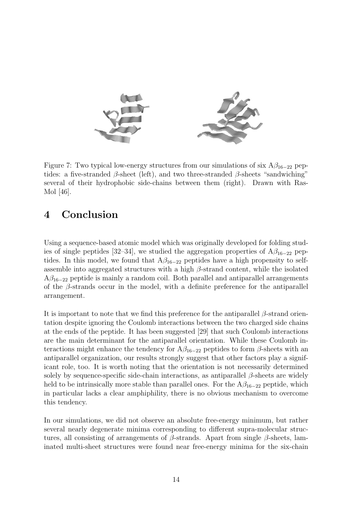

Figure 7: Two typical low-energy structures from our simulations of six  $A\beta_{16-22}$  peptides: a five-stranded  $\beta$ -sheet (left), and two three-stranded  $\beta$ -sheets "sandwiching" several of their hydrophobic side-chains between them (right). Drawn with Ras-Mol [46].

# 4 Conclusion

Using a sequence-based atomic model which was originally developed for folding studies of single peptides [32–34], we studied the aggregation properties of  $A\beta_{16-22}$  peptides. In this model, we found that  $A\beta_{16-22}$  peptides have a high propensity to selfassemble into aggregated structures with a high  $\beta$ -strand content, while the isolated  $A\beta_{16-22}$  peptide is mainly a random coil. Both parallel and antiparallel arrangements of the  $\beta$ -strands occur in the model, with a definite preference for the antiparallel arrangement.

It is important to note that we find this preference for the antiparallel  $\beta$ -strand orientation despite ignoring the Coulomb interactions between the two charged side chains at the ends of the peptide. It has been suggested [29] that such Coulomb interactions are the main determinant for the antiparallel orientation. While these Coulomb interactions might enhance the tendency for  $A\beta_{16-22}$  peptides to form  $\beta$ -sheets with an antiparallel organization, our results strongly suggest that other factors play a significant role, too. It is worth noting that the orientation is not necessarily determined solely by sequence-specific side-chain interactions, as antiparallel  $\beta$ -sheets are widely held to be intrinsically more stable than parallel ones. For the  $A\beta_{16-22}$  peptide, which in particular lacks a clear amphiphility, there is no obvious mechanism to overcome this tendency.

In our simulations, we did not observe an absolute free-energy minimum, but rather several nearly degenerate minima corresponding to different supra-molecular structures, all consisting of arrangements of  $\beta$ -strands. Apart from single  $\beta$ -sheets, laminated multi-sheet structures were found near free-energy minima for the six-chain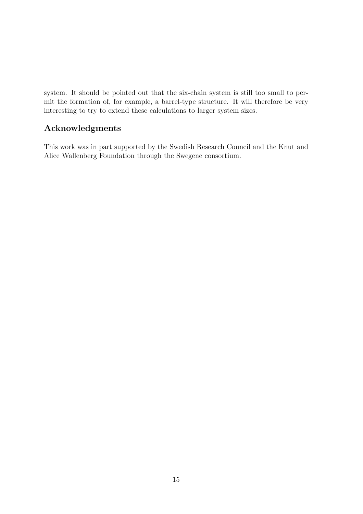system. It should be pointed out that the six-chain system is still too small to permit the formation of, for example, a barrel-type structure. It will therefore be very interesting to try to extend these calculations to larger system sizes.

### Acknowledgments

This work was in part supported by the Swedish Research Council and the Knut and Alice Wallenberg Foundation through the Swegene consortium.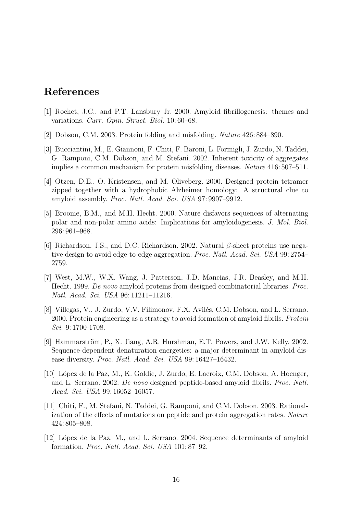# References

- [1] Rochet, J.C., and P.T. Lansbury Jr. 2000. Amyloid fibrillogenesis: themes and variations. Curr. Opin. Struct. Biol. 10: 60–68.
- [2] Dobson, C.M. 2003. Protein folding and misfolding. Nature 426: 884–890.
- [3] Bucciantini, M., E. Giannoni, F. Chiti, F. Baroni, L. Formigli, J. Zurdo, N. Taddei, G. Ramponi, C.M. Dobson, and M. Stefani. 2002. Inherent toxicity of aggregates implies a common mechanism for protein misfolding diseases. Nature 416: 507–511.
- [4] Otzen, D.E., O. Kristensen, and M. Oliveberg. 2000. Designed protein tetramer zipped together with a hydrophobic Alzheimer homology: A structural clue to amyloid assembly. Proc. Natl. Acad. Sci. USA 97: 9907–9912.
- [5] Broome, B.M., and M.H. Hecht. 2000. Nature disfavors sequences of alternating polar and non-polar amino acids: Implications for amyloidogenesis. J. Mol. Biol. 296: 961–968.
- [6] Richardson, J.S., and D.C. Richardson. 2002. Natural  $\beta$ -sheet proteins use negative design to avoid edge-to-edge aggregation. Proc. Natl. Acad. Sci. USA 99: 2754– 2759.
- [7] West, M.W., W.X. Wang, J. Patterson, J.D. Mancias, J.R. Beasley, and M.H. Hecht. 1999. De novo amyloid proteins from designed combinatorial libraries. Proc. Natl. Acad. Sci. USA 96: 11211–11216.
- [8] Villegas, V., J. Zurdo, V.V. Filimonov, F.X. Avilés, C.M. Dobson, and L. Serrano. 2000. Protein engineering as a strategy to avoid formation of amyloid fibrils. Protein Sci. 9: 1700-1708.
- [9] Hammarström, P., X. Jiang, A.R. Hurshman, E.T. Powers, and J.W. Kelly. 2002. Sequence-dependent denaturation energetics: a major determinant in amyloid disease diversity. Proc. Natl. Acad. Sci. USA 99: 16427–16432.
- [10] L´opez de la Paz, M., K. Goldie, J. Zurdo, E. Lacroix, C.M. Dobson, A. Hoenger, and L. Serrano. 2002. De novo designed peptide-based amyloid fibrils. Proc. Natl. Acad. Sci. USA 99: 16052–16057.
- [11] Chiti, F., M. Stefani, N. Taddei, G. Ramponi, and C.M. Dobson. 2003. Rationalization of the effects of mutations on peptide and protein aggregation rates. Nature 424: 805–808.
- [12] López de la Paz, M., and L. Serrano. 2004. Sequence determinants of amyloid formation. Proc. Natl. Acad. Sci. USA 101: 87–92.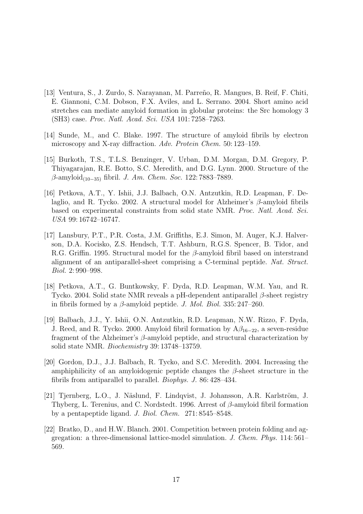- [13] Ventura, S., J. Zurdo, S. Narayanan, M. Parre˜no, R. Mangues, B. Reif, F. Chiti, E. Giannoni, C.M. Dobson, F.X. Aviles, and L. Serrano. 2004. Short amino acid stretches can mediate amyloid formation in globular proteins: the Src homology 3 (SH3) case. Proc. Natl. Acad. Sci. USA 101: 7258–7263.
- [14] Sunde, M., and C. Blake. 1997. The structure of amyloid fibrils by electron microscopy and X-ray diffraction. Adv. Protein Chem. 50: 123–159.
- [15] Burkoth, T.S., T.L.S. Benzinger, V. Urban, D.M. Morgan, D.M. Gregory, P. Thiyagarajan, R.E. Botto, S.C. Meredith, and D.G. Lynn. 2000. Structure of the  $\beta$ -amyloid<sub>(10−35)</sub> fibril. *J. Am. Chem. Soc.* 122: 7883–7889.
- [16] Petkova, A.T., Y. Ishii, J.J. Balbach, O.N. Antzutkin, R.D. Leapman, F. Delaglio, and R. Tycko. 2002. A structural model for Alzheimer's  $\beta$ -amyloid fibrils based on experimental constraints from solid state NMR. Proc. Natl. Acad. Sci. USA 99: 16742–16747.
- [17] Lansbury, P.T., P.R. Costa, J.M. Griffiths, E.J. Simon, M. Auger, K.J. Halverson, D.A. Kocisko, Z.S. Hendsch, T.T. Ashburn, R.G.S. Spencer, B. Tidor, and R.G. Griffin. 1995. Structural model for the β-amyloid fibril based on interstrand alignment of an antiparallel-sheet comprising a C-terminal peptide. Nat. Struct. Biol. 2: 990–998.
- [18] Petkova, A.T., G. Buntkowsky, F. Dyda, R.D. Leapman, W.M. Yau, and R. Tycko. 2004. Solid state NMR reveals a pH-dependent antiparallel  $\beta$ -sheet registry in fibrils formed by a  $\beta$ -amyloid peptide. *J. Mol. Biol.* 335: 247–260.
- [19] Balbach, J.J., Y. Ishii, O.N. Antzutkin, R.D. Leapman, N.W. Rizzo, F. Dyda, J. Reed, and R. Tycko. 2000. Amyloid fibril formation by  $A\beta_{16-22}$ , a seven-residue fragment of the Alzheimer's β-amyloid peptide, and structural characterization by solid state NMR. Biochemistry 39: 13748–13759.
- [20] Gordon, D.J., J.J. Balbach, R. Tycko, and S.C. Meredith. 2004. Increasing the amphiphilicity of an amyloidogenic peptide changes the  $\beta$ -sheet structure in the fibrils from antiparallel to parallel. Biophys. J. 86: 428–434.
- [21] Tjernberg, L.O., J. Näslund, F. Lindqvist, J. Johansson, A.R. Karlström, J. Thyberg, L. Terenius, and C. Nordstedt. 1996. Arrest of  $\beta$ -amyloid fibril formation by a pentapeptide ligand. J. Biol. Chem. 271: 8545–8548.
- [22] Bratko, D., and H.W. Blanch. 2001. Competition between protein folding and aggregation: a three-dimensional lattice-model simulation. J. Chem. Phys. 114: 561– 569.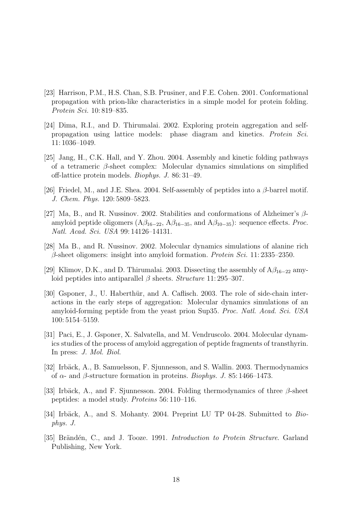- [23] Harrison, P.M., H.S. Chan, S.B. Prusiner, and F.E. Cohen. 2001. Conformational propagation with prion-like characteristics in a simple model for protein folding. Protein Sci. 10: 819–835.
- [24] Dima, R.I., and D. Thirumalai. 2002. Exploring protein aggregation and selfpropagation using lattice models: phase diagram and kinetics. Protein Sci. 11: 1036–1049.
- [25] Jang, H., C.K. Hall, and Y. Zhou. 2004. Assembly and kinetic folding pathways of a tetrameric  $\beta$ -sheet complex: Molecular dynamics simulations on simplified off-lattice protein models. Biophys. J. 86: 31–49.
- [26] Friedel, M., and J.E. Shea. 2004. Self-assembly of peptides into a  $\beta$ -barrel motif. J. Chem. Phys. 120: 5809–5823.
- [27] Ma, B., and R. Nussinov. 2002. Stabilities and conformations of Alzheimer's  $\beta$ amyloid peptide oligomers ( $A\beta_{16-22}$ ,  $A\beta_{16-35}$ , and  $A\beta_{10-35}$ ): sequence effects. *Proc.* Natl. Acad. Sci. USA 99: 14126–14131.
- [28] Ma B., and R. Nussinov. 2002. Molecular dynamics simulations of alanine rich  $\beta$ -sheet oligomers: insight into amyloid formation. *Protein Sci.* 11: 2335–2350.
- [29] Klimov, D.K., and D. Thirumalai. 2003. Dissecting the assembly of  $A\beta_{16-22}$  amyloid peptides into antiparallel  $\beta$  sheets. Structure 11: 295–307.
- [30] Gsponer, J., U. Haberthür, and A. Caflisch. 2003. The role of side-chain interactions in the early steps of aggregation: Molecular dynamics simulations of an amyloid-forming peptide from the yeast prion Sup35. Proc. Natl. Acad. Sci. USA 100: 5154–5159.
- [31] Paci, E., J. Gsponer, X. Salvatella, and M. Vendruscolo. 2004. Molecular dynamics studies of the process of amyloid aggregation of peptide fragments of transthyrin. In press: J. Mol. Biol.
- [32] Irbäck, A., B. Samuelsson, F. Sjunnesson, and S. Wallin. 2003. Thermodynamics of α- and β-structure formation in proteins. Biophys. J. 85: 1466–1473.
- [33] Irbäck, A., and F. Sjunnesson. 2004. Folding thermodynamics of three  $\beta$ -sheet peptides: a model study. Proteins 56: 110–116.
- [34] Irbäck, A., and S. Mohanty. 2004. Preprint LU TP 04-28. Submitted to  $Bio$ phys. J.
- [35] Brändén, C., and J. Tooze. 1991. Introduction to Protein Structure. Garland Publishing, New York.